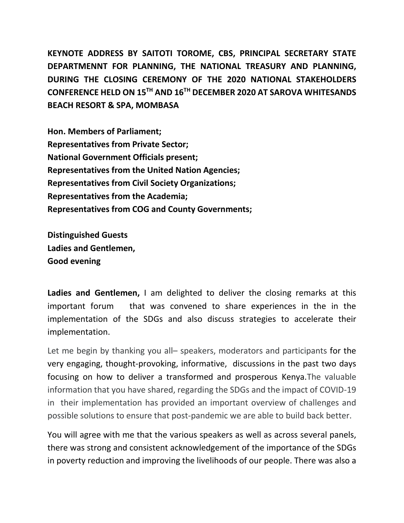**KEYNOTE ADDRESS BY SAITOTI TOROME, CBS, PRINCIPAL SECRETARY STATE DEPARTMENNT FOR PLANNING, THE NATIONAL TREASURY AND PLANNING, DURING THE CLOSING CEREMONY OF THE 2020 NATIONAL STAKEHOLDERS CONFERENCE HELD ON 15TH AND 16TH DECEMBER 2020 AT SAROVA WHITESANDS BEACH RESORT & SPA, MOMBASA**

**Hon. Members of Parliament; Representatives from Private Sector; National Government Officials present; Representatives from the United Nation Agencies; Representatives from Civil Society Organizations; Representatives from the Academia; Representatives from COG and County Governments;**

**Distinguished Guests Ladies and Gentlemen, Good evening**

**Ladies and Gentlemen,** I am delighted to deliver the closing remarks at this important forum that was convened to share experiences in the in the implementation of the SDGs and also discuss strategies to accelerate their implementation.

Let me begin by thanking you all– speakers, moderators and participants for the very engaging, thought-provoking, informative, discussions in the past two days focusing on how to deliver a transformed and prosperous Kenya.The valuable information that you have shared, regarding the SDGs and the impact of COVID-19 in their implementation has provided an important overview of challenges and possible solutions to ensure that post-pandemic we are able to build back better.

You will agree with me that the various speakers as well as across several panels, there was strong and consistent acknowledgement of the importance of the SDGs in poverty reduction and improving the livelihoods of our people. There was also a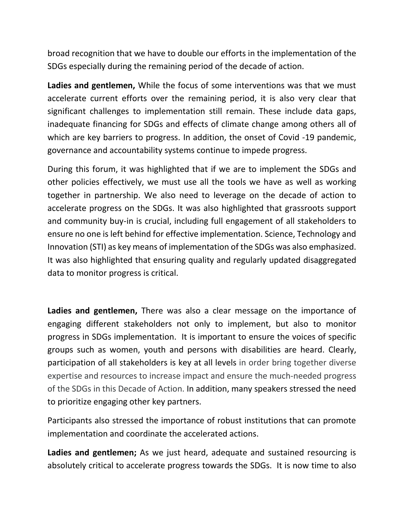broad recognition that we have to double our efforts in the implementation of the SDGs especially during the remaining period of the decade of action.

**Ladies and gentlemen,** While the focus of some interventions was that we must accelerate current efforts over the remaining period, it is also very clear that significant challenges to implementation still remain. These include data gaps, inadequate financing for SDGs and effects of climate change among others all of which are key barriers to progress. In addition, the onset of Covid -19 pandemic, governance and accountability systems continue to impede progress.

During this forum, it was highlighted that if we are to implement the SDGs and other policies effectively, we must use all the tools we have as well as working together in partnership. We also need to leverage on the decade of action to accelerate progress on the SDGs. It was also highlighted that grassroots support and community buy-in is crucial, including full engagement of all stakeholders to ensure no one is left behind for effective implementation. Science, Technology and Innovation (STI) as key means of implementation of the SDGs was also emphasized. It was also highlighted that ensuring quality and regularly updated disaggregated data to monitor progress is critical.

**Ladies and gentlemen,** There was also a clear message on the importance of engaging different stakeholders not only to implement, but also to monitor progress in SDGs implementation. It is important to ensure the voices of specific groups such as women, youth and persons with disabilities are heard. Clearly, participation of all stakeholders is key at all levels in order bring together diverse expertise and resources to increase impact and ensure the much-needed progress of the SDGs in this Decade of Action. In addition, many speakers stressed the need to prioritize engaging other key partners.

Participants also stressed the importance of robust institutions that can promote implementation and coordinate the accelerated actions.

**Ladies and gentlemen;** As we just heard, adequate and sustained resourcing is absolutely critical to accelerate progress towards the SDGs. It is now time to also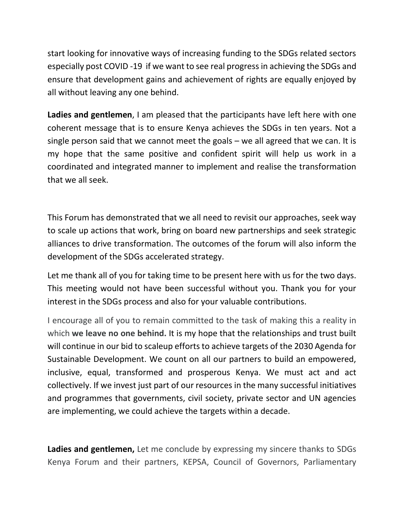start looking for innovative ways of increasing funding to the SDGs related sectors especially post COVID -19 if we want to see real progress in achieving the SDGs and ensure that development gains and achievement of rights are equally enjoyed by all without leaving any one behind.

**Ladies and gentlemen**, I am pleased that the participants have left here with one coherent message that is to ensure Kenya achieves the SDGs in ten years. Not a single person said that we cannot meet the goals – we all agreed that we can. It is my hope that the same positive and confident spirit will help us work in a coordinated and integrated manner to implement and realise the transformation that we all seek.

This Forum has demonstrated that we all need to revisit our approaches, seek way to scale up actions that work, bring on board new partnerships and seek strategic alliances to drive transformation. The outcomes of the forum will also inform the development of the SDGs accelerated strategy.

Let me thank all of you for taking time to be present here with us for the two days. This meeting would not have been successful without you. Thank you for your interest in the SDGs process and also for your valuable contributions.

I encourage all of you to remain committed to the task of making this a reality in which **we leave no one behind.** It is my hope that the relationships and trust built will continue in our bid to scaleup efforts to achieve targets of the 2030 Agenda for Sustainable Development. We count on all our partners to build an empowered, inclusive, equal, transformed and prosperous Kenya. We must act and act collectively. If we invest just part of our resources in the many successful initiatives and programmes that governments, civil society, private sector and UN agencies are implementing, we could achieve the targets within a decade.

**Ladies and gentlemen,** Let me conclude by expressing my sincere thanks to SDGs Kenya Forum and their partners, KEPSA, Council of Governors, Parliamentary